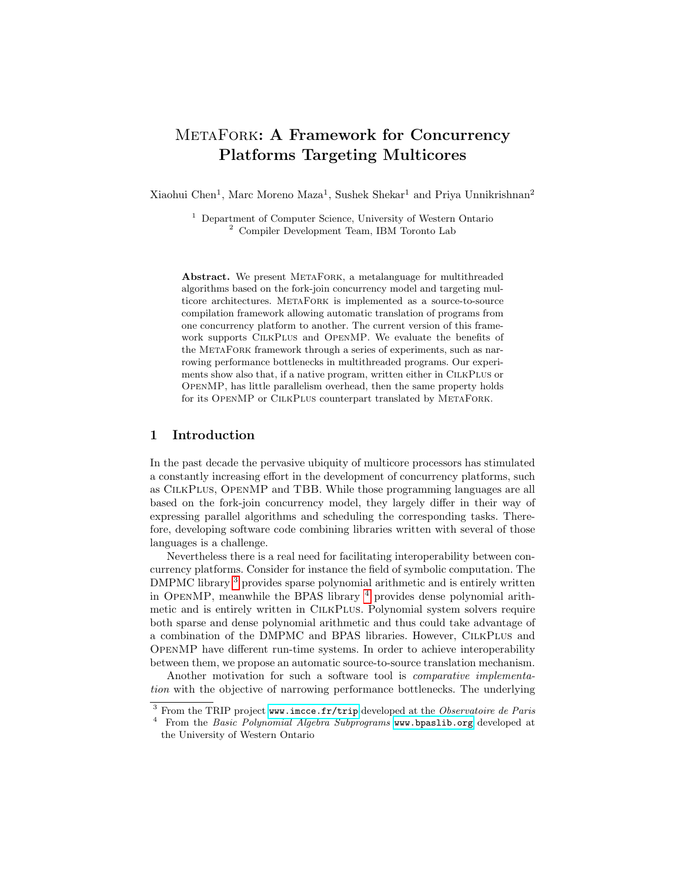# METAFORK: A Framework for Concurrency Platforms Targeting Multicores

Xiaohui Chen<sup>1</sup>, Marc Moreno Maza<sup>1</sup>, Sushek Shekar<sup>1</sup> and Priya Unnikrishnan<sup>2</sup>

<sup>1</sup> Department of Computer Science, University of Western Ontario <sup>2</sup> Compiler Development Team, IBM Toronto Lab

Abstract. We present METAFORK, a metalanguage for multithreaded algorithms based on the fork-join concurrency model and targeting multicore architectures. MetaFork is implemented as a source-to-source compilation framework allowing automatic translation of programs from one concurrency platform to another. The current version of this framework supports CilkPlus and OpenMP. We evaluate the benefits of the METAFORK framework through a series of experiments, such as narrowing performance bottlenecks in multithreaded programs. Our experiments show also that, if a native program, written either in CilkPlus or OpenMP, has little parallelism overhead, then the same property holds for its OPENMP or CILKPLUS counterpart translated by METAFORK.

# 1 Introduction

In the past decade the pervasive ubiquity of multicore processors has stimulated a constantly increasing effort in the development of concurrency platforms, such as CilkPlus, OpenMP and TBB. While those programming languages are all based on the fork-join concurrency model, they largely differ in their way of expressing parallel algorithms and scheduling the corresponding tasks. Therefore, developing software code combining libraries written with several of those languages is a challenge.

Nevertheless there is a real need for facilitating interoperability between concurrency platforms. Consider for instance the field of symbolic computation. The DMPMC library [3](#page-0-0) provides sparse polynomial arithmetic and is entirely written in OpenMP, meanwhile the BPAS library [4](#page-0-1) provides dense polynomial arithmetic and is entirely written in CilkPlus. Polynomial system solvers require both sparse and dense polynomial arithmetic and thus could take advantage of a combination of the DMPMC and BPAS libraries. However, CilkPlus and OpenMP have different run-time systems. In order to achieve interoperability between them, we propose an automatic source-to-source translation mechanism.

Another motivation for such a software tool is comparative implementation with the objective of narrowing performance bottlenecks. The underlying

<span id="page-0-0"></span> $3$  From the TRIP project <www.imcce.fr/trip> developed at the Observatoire de Paris

<span id="page-0-1"></span><sup>&</sup>lt;sup>4</sup> From the Basic Polynomial Algebra Subprograms <www.bpaslib.org> developed at the University of Western Ontario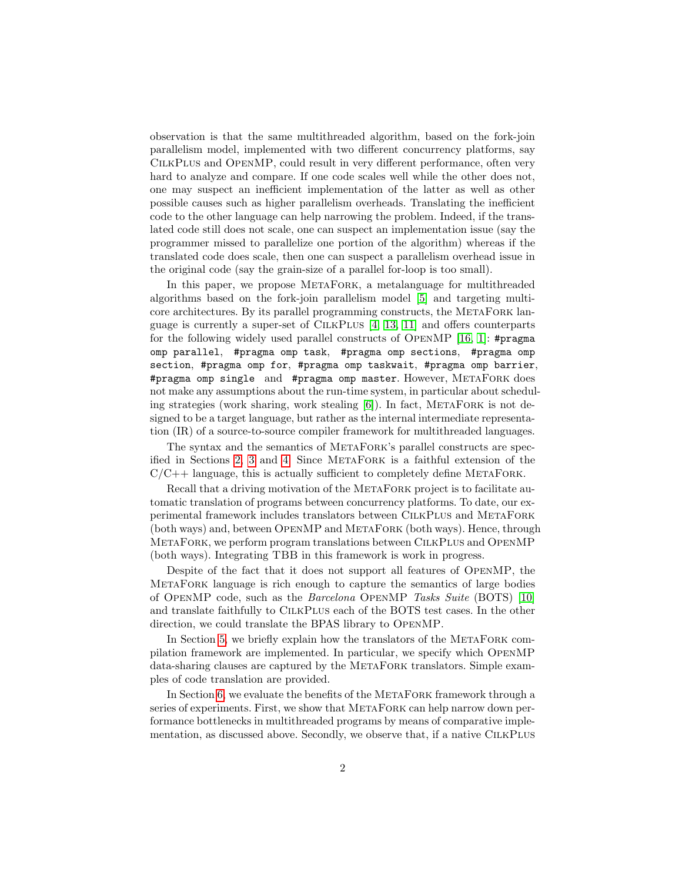observation is that the same multithreaded algorithm, based on the fork-join parallelism model, implemented with two different concurrency platforms, say CilkPlus and OpenMP, could result in very different performance, often very hard to analyze and compare. If one code scales well while the other does not, one may suspect an inefficient implementation of the latter as well as other possible causes such as higher parallelism overheads. Translating the inefficient code to the other language can help narrowing the problem. Indeed, if the translated code still does not scale, one can suspect an implementation issue (say the programmer missed to parallelize one portion of the algorithm) whereas if the translated code does scale, then one can suspect a parallelism overhead issue in the original code (say the grain-size of a parallel for-loop is too small).

In this paper, we propose METAFORK, a metalanguage for multithreaded algorithms based on the fork-join parallelism model [\[5\]](#page-13-0) and targeting multicore architectures. By its parallel programming constructs, the MetaFork language is currently a super-set of CilkPlus [\[4,](#page-13-1) [13,](#page-14-0) [11\]](#page-14-1) and offers counterparts for the following widely used parallel constructs of OpenMP [\[16,](#page-14-2) [1\]](#page-13-2): #pragma omp parallel, #pragma omp task, #pragma omp sections, #pragma omp section, #pragma omp for, #pragma omp taskwait, #pragma omp barrier, #pragma omp single and #pragma omp master. However, METAFORK does not make any assumptions about the run-time system, in particular about scheduling strategies (work sharing, work stealing  $[6]$ ). In fact, METAFORK is not designed to be a target language, but rather as the internal intermediate representation (IR) of a source-to-source compiler framework for multithreaded languages.

The syntax and the semantics of MetaFork's parallel constructs are specified in Sections [2,](#page-2-0) [3](#page-4-0) and [4.](#page-6-0) Since MetaFork is a faithful extension of the  $C/C++$  language, this is actually sufficient to completely define METAFORK.

Recall that a driving motivation of the METAFORK project is to facilitate automatic translation of programs between concurrency platforms. To date, our experimental framework includes translators between CilkPlus and MetaFork (both ways) and, between OpenMP and MetaFork (both ways). Hence, through MetaFork, we perform program translations between CilkPlus and OpenMP (both ways). Integrating TBB in this framework is work in progress.

Despite of the fact that it does not support all features of OpenMP, the MetaFork language is rich enough to capture the semantics of large bodies of OpenMP code, such as the Barcelona OpenMP Tasks Suite (BOTS) [\[10\]](#page-14-3) and translate faithfully to CilkPlus each of the BOTS test cases. In the other direction, we could translate the BPAS library to OpenMP.

In Section [5,](#page-7-0) we briefly explain how the translators of the METAFORK compilation framework are implemented. In particular, we specify which OpenMP data-sharing clauses are captured by the METAFORK translators. Simple examples of code translation are provided.

In Section [6,](#page-9-0) we evaluate the benefits of the METAFORK framework through a series of experiments. First, we show that METAFORK can help narrow down performance bottlenecks in multithreaded programs by means of comparative implementation, as discussed above. Secondly, we observe that, if a native CilkPlus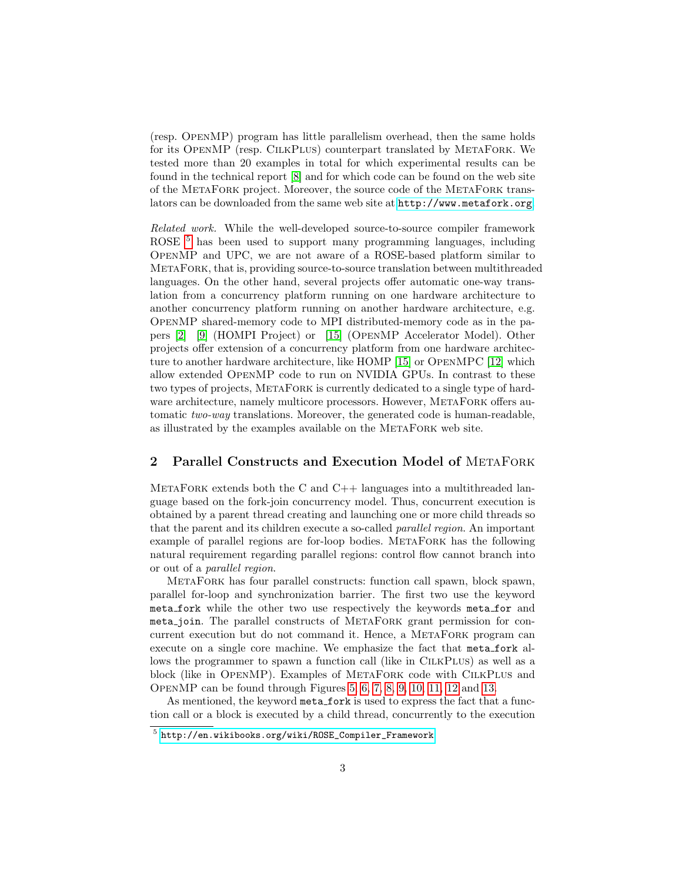(resp. OpenMP) program has little parallelism overhead, then the same holds for its OpenMP (resp. CilkPlus) counterpart translated by MetaFork. We tested more than 20 examples in total for which experimental results can be found in the technical report [\[8\]](#page-13-4) and for which code can be found on the web site of the MetaFork project. Moreover, the source code of the MetaFork translators can be downloaded from the same web site at <http://www.metafork.org>.

Related work. While the well-developed source-to-source compiler framework ROSE<sup>[5](#page-2-1)</sup> has been used to support many programming languages, including OpenMP and UPC, we are not aware of a ROSE-based platform similar to MetaFork, that is, providing source-to-source translation between multithreaded languages. On the other hand, several projects offer automatic one-way translation from a concurrency platform running on one hardware architecture to another concurrency platform running on another hardware architecture, e.g. OpenMP shared-memory code to MPI distributed-memory code as in the papers [\[2\]](#page-13-5) [\[9\]](#page-14-4) (HOMPI Project) or [\[15\]](#page-14-5) (OpenMP Accelerator Model). Other projects offer extension of a concurrency platform from one hardware architecture to another hardware architecture, like HOMP [\[15\]](#page-14-5) or OpenMPC [\[12\]](#page-14-6) which allow extended OpenMP code to run on NVIDIA GPUs. In contrast to these two types of projects, MetaFork is currently dedicated to a single type of hardware architecture, namely multicore processors. However, METAFORK offers automatic two-way translations. Moreover, the generated code is human-readable, as illustrated by the examples available on the METAFORK web site.

## <span id="page-2-0"></span>2 Parallel Constructs and Execution Model of METAFORK

METAFORK extends both the C and  $C_{++}$  languages into a multithreaded language based on the fork-join concurrency model. Thus, concurrent execution is obtained by a parent thread creating and launching one or more child threads so that the parent and its children execute a so-called parallel region. An important example of parallel regions are for-loop bodies. MetaFork has the following natural requirement regarding parallel regions: control flow cannot branch into or out of a parallel region.

MetaFork has four parallel constructs: function call spawn, block spawn, parallel for-loop and synchronization barrier. The first two use the keyword meta fork while the other two use respectively the keywords meta for and meta join. The parallel constructs of MetaFork grant permission for concurrent execution but do not command it. Hence, a MetaFork program can execute on a single core machine. We emphasize the fact that meta fork allows the programmer to spawn a function call (like in CILKPLUS) as well as a block (like in OPENMP). Examples of METAFORK code with CILKPLUS and OpenMP can be found through Figures [5, 6, 7,](#page-8-0) [8, 9, 10,](#page-8-1) [11, 12](#page-9-1) and [13.](#page-9-1)

As mentioned, the keyword meta fork is used to express the fact that a function call or a block is executed by a child thread, concurrently to the execution

<span id="page-2-1"></span><sup>5</sup> [http://en.wikibooks.org/wiki/ROSE\\_Compiler\\_Framework](http://en.wikibooks.org/wiki/ROSE_Compiler_Framework)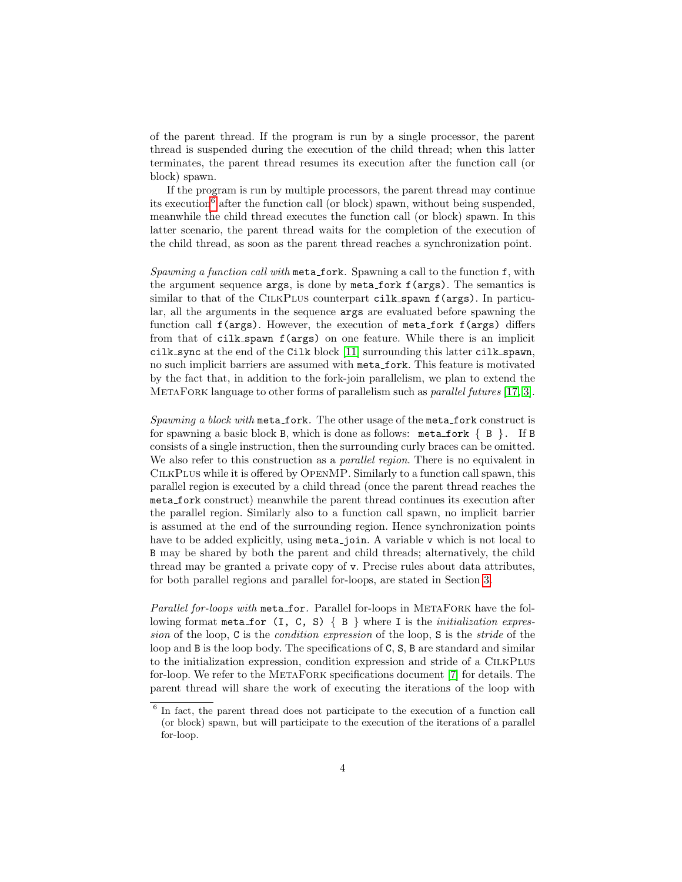of the parent thread. If the program is run by a single processor, the parent thread is suspended during the execution of the child thread; when this latter terminates, the parent thread resumes its execution after the function call (or block) spawn.

If the program is run by multiple processors, the parent thread may continue its execution<sup>[6](#page-3-0)</sup> after the function call (or block) spawn, without being suspended, meanwhile the child thread executes the function call (or block) spawn. In this latter scenario, the parent thread waits for the completion of the execution of the child thread, as soon as the parent thread reaches a synchronization point.

Spawning a function call with meta\_fork. Spawning a call to the function f, with the argument sequence args, is done by meta fork f(args). The semantics is similar to that of the CILKPLUS counterpart cilk\_spawn  $f(args)$ . In particular, all the arguments in the sequence args are evaluated before spawning the function call  $f(args)$ . However, the execution of meta fork  $f(args)$  differs from that of cilk spawn f(args) on one feature. While there is an implicit cilk sync at the end of the Cilk block  $[11]$  surrounding this latter cilk spawn, no such implicit barriers are assumed with meta fork. This feature is motivated by the fact that, in addition to the fork-join parallelism, we plan to extend the METAFORK language to other forms of parallelism such as *parallel futures* [\[17,](#page-14-7) [3\]](#page-13-6).

Spawning a block with meta fork. The other usage of the meta fork construct is for spawning a basic block B, which is done as follows: meta\_fork  $\{B\}$ . If B consists of a single instruction, then the surrounding curly braces can be omitted. We also refer to this construction as a *parallel region*. There is no equivalent in CilkPlus while it is offered by OpenMP. Similarly to a function call spawn, this parallel region is executed by a child thread (once the parent thread reaches the meta fork construct) meanwhile the parent thread continues its execution after the parallel region. Similarly also to a function call spawn, no implicit barrier is assumed at the end of the surrounding region. Hence synchronization points have to be added explicitly, using meta<sub>ploin</sub>. A variable v which is not local to B may be shared by both the parent and child threads; alternatively, the child thread may be granted a private copy of v. Precise rules about data attributes, for both parallel regions and parallel for-loops, are stated in Section [3.](#page-4-0)

Parallel for-loops with meta for. Parallel for-loops in METAFORK have the following format meta\_for  $(I, C, S) \{ B \}$  where I is the *initialization expres*sion of the loop, C is the condition expression of the loop, S is the stride of the loop and B is the loop body. The specifications of C, S, B are standard and similar to the initialization expression, condition expression and stride of a CilkPlus for-loop. We refer to the METAFORK specifications document [\[7\]](#page-13-7) for details. The parent thread will share the work of executing the iterations of the loop with

<span id="page-3-0"></span><sup>&</sup>lt;sup>6</sup> In fact, the parent thread does not participate to the execution of a function call (or block) spawn, but will participate to the execution of the iterations of a parallel for-loop.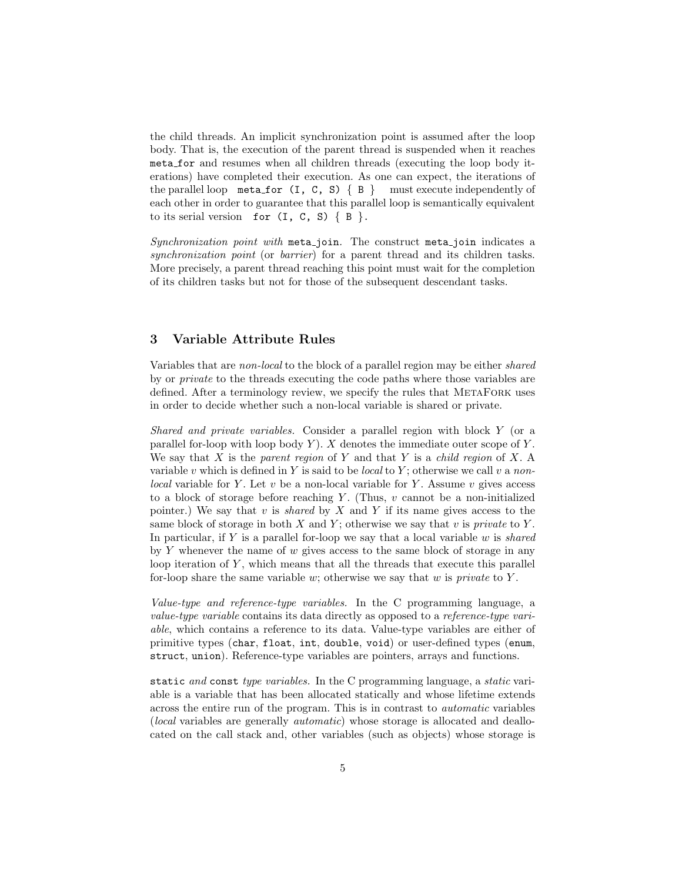the child threads. An implicit synchronization point is assumed after the loop body. That is, the execution of the parent thread is suspended when it reaches meta for and resumes when all children threads (executing the loop body iterations) have completed their execution. As one can expect, the iterations of the parallel loop meta\_for  $(I, C, S)$  { B } must execute independently of each other in order to guarantee that this parallel loop is semantically equivalent to its serial version for  $(I, C, S) \{B\}$ .

Synchronization point with meta-join. The construct meta-join indicates a synchronization point (or barrier) for a parent thread and its children tasks. More precisely, a parent thread reaching this point must wait for the completion of its children tasks but not for those of the subsequent descendant tasks.

#### <span id="page-4-0"></span>3 Variable Attribute Rules

Variables that are non-local to the block of a parallel region may be either shared by or private to the threads executing the code paths where those variables are defined. After a terminology review, we specify the rules that METAFORK uses in order to decide whether such a non-local variable is shared or private.

Shared and private variables. Consider a parallel region with block Y (or a parallel for-loop with loop body  $Y$ ). X denotes the immediate outer scope of Y. We say that  $X$  is the parent region of  $Y$  and that  $Y$  is a child region of  $X$ . A variable v which is defined in Y is said to be *local* to Y; otherwise we call v a nonlocal variable for Y. Let  $v$  be a non-local variable for Y. Assume  $v$  gives access to a block of storage before reaching  $Y$ . (Thus,  $v$  cannot be a non-initialized pointer.) We say that v is *shared* by X and Y if its name gives access to the same block of storage in both  $X$  and  $Y$ ; otherwise we say that  $v$  is *private* to  $Y$ . In particular, if Y is a parallel for-loop we say that a local variable  $w$  is shared by  $Y$  whenever the name of  $w$  gives access to the same block of storage in any loop iteration of  $Y$ , which means that all the threads that execute this parallel for-loop share the same variable w; otherwise we say that w is *private* to  $Y$ .

Value-type and reference-type variables. In the C programming language, a value-type variable contains its data directly as opposed to a reference-type variable, which contains a reference to its data. Value-type variables are either of primitive types (char, float, int, double, void) or user-defined types (enum, struct, union). Reference-type variables are pointers, arrays and functions.

static and const type variables. In the C programming language, a static variable is a variable that has been allocated statically and whose lifetime extends across the entire run of the program. This is in contrast to automatic variables (local variables are generally automatic) whose storage is allocated and deallocated on the call stack and, other variables (such as objects) whose storage is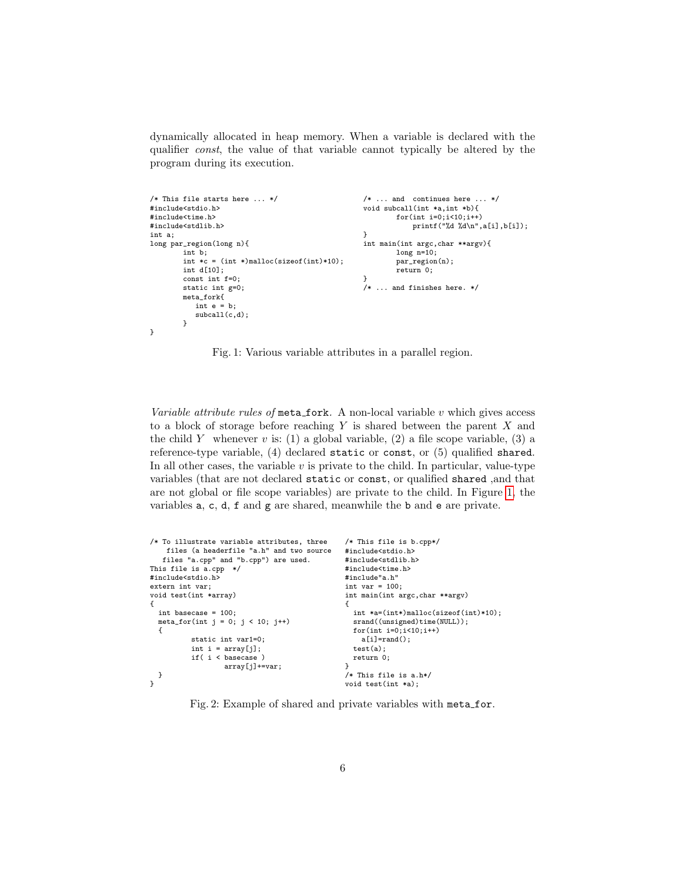dynamically allocated in heap memory. When a variable is declared with the qualifier const, the value of that variable cannot typically be altered by the program during its execution.

```
/* This file starts here ... */
#include<stdio.h>
#include<time.h>
#include<stdlib.h>
int a;
long par_region(long n){
       int b;
        int *c = (int *)malloc(sizeof(int)*10);
        int d[10];
       const int f=0;
       static int g=0;
       meta_fork{
          int e = b;
          subcall(c,d);
       }
}
                                                    /* ... and continues here ... */
                                                    void subcall(int *a,int *b){
                                                            for(int i=0; i<10; i++)printf("%d %d\n",a[i],b[i]);
                                                    }
                                                    int main(int argc,char **argv){
                                                            long n=10;
                                                            par_region(n);
                                                             return 0;
                                                    }
                                                    /* ... and finishes here. */
```
Fig. 1: Various variable attributes in a parallel region.

Variable attribute rules of  $meta_fork$ . A non-local variable v which gives access to a block of storage before reaching Y is shared between the parent X and the child Y whenever v is: (1) a global variable, (2) a file scope variable, (3) a reference-type variable, (4) declared static or const, or (5) qualified shared. In all other cases, the variable  $v$  is private to the child. In particular, value-type variables (that are not declared static or const, or qualified shared ,and that are not global or file scope variables) are private to the child. In Figure [1,](#page-5-0) the variables a, c, d, f and g are shared, meanwhile the b and e are private.

```
/* To illustrate variable attributes, three
   files (a headerfile "a.h" and two source
  files "a.cpp" and "b.cpp") are used.
This file is a.cpp */
#include<stdio.h>
extern int var;
void test(int *array)
{
 int basecase = 100;
 meta\_for(int j = 0; j < 10; j++){
          static int var1=0;
          int i = array[j];
          if( i < basecase )
                 array[j]+=var;
 }
}
                                                /* This file is b.cpp*/
                                               #include<stdio.h>
                                               #include<stdlib.h>
                                                #include<time.h>
                                               #include"a.h"
                                               int var = 100:
                                                int main(int argc,char **argv)
                                                {
                                                 int *a=(int*)malloc(sizeof(int)*10);
                                                 srand((unsigned)time(NULL));
                                                 for(int i=0:i<10:i++)a[i]=rand();
                                                 test(a);
                                                 return 0;
                                               }
                                                /* This file is a.h*/
                                               void test(int *a);
```
Fig. 2: Example of shared and private variables with meta\_for.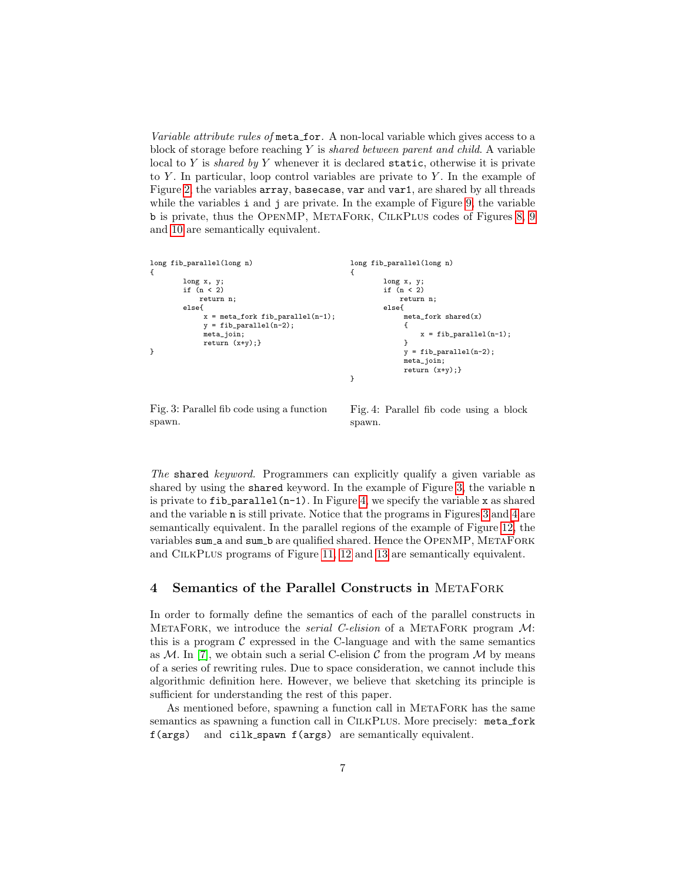Variable attribute rules of meta for. A non-local variable which gives access to a block of storage before reaching Y is shared between parent and child. A variable local to Y is shared by Y whenever it is declared static, otherwise it is private to  $Y$ . In particular, loop control variables are private to  $Y$ . In the example of Figure [2,](#page-5-1) the variables array, basecase, var and var1, are shared by all threads while the variables i and j are private. In the example of Figure [9,](#page-8-1) the variable b is private, thus the OpenMP, MetaFork, CilkPlus codes of Figures [8, 9](#page-8-1) and [10](#page-8-1) are semantically equivalent.

```
long fib_parallel(long n)
{
       long x, y;
       if (n < 2)
           return n;
        else{
             x = meta_fork fib_parallel(n-1);y = fib_parallel(n-2);
             meta_join;
             return (x+y);}
}
                                                  long fib_parallel(long n)
                                                  {
                                                          long x, y;
                                                          if (n < 2)
                                                              return n;
                                                          else{
                                                               meta_fork shared(x)
                                                               {
                                                                    x = fib\_parallel(n-1);}
                                                               y = fib\_parallel(n-2);meta_join;
                                                               return (x+y);}
                                                  }
```
Fig. 3: Parallel fib code using a function spawn.

Fig. 4: Parallel fib code using a block spawn.

The shared keyword. Programmers can explicitly qualify a given variable as shared by using the shared keyword. In the example of Figure [3,](#page-6-1) the variable n is private to  $fib\_parallel(n-1)$ . In Figure [4,](#page-6-1) we specify the variable x as shared and the variable n is still private. Notice that the programs in Figures [3](#page-6-1) and [4](#page-6-1) are semantically equivalent. In the parallel regions of the example of Figure [12,](#page-9-1) the variables sum a and sum b are qualified shared. Hence the OpenMP, MetaFork and CilkPlus programs of Figure [11, 12](#page-9-1) and [13](#page-9-1) are semantically equivalent.

#### <span id="page-6-0"></span>4 Semantics of the Parallel Constructs in METAFORK

In order to formally define the semantics of each of the parallel constructs in METAFORK, we introduce the *serial C-elision* of a METAFORK program  $\mathcal{M}$ : this is a program  $\mathcal C$  expressed in the C-language and with the same semantics as  $M$ . In [\[7\]](#page-13-7), we obtain such a serial C-elision C from the program  $M$  by means of a series of rewriting rules. Due to space consideration, we cannot include this algorithmic definition here. However, we believe that sketching its principle is sufficient for understanding the rest of this paper.

As mentioned before, spawning a function call in METAFORK has the same semantics as spawning a function call in CILKPLUS. More precisely: meta\_fork f(args) and cilk spawn f(args) are semantically equivalent.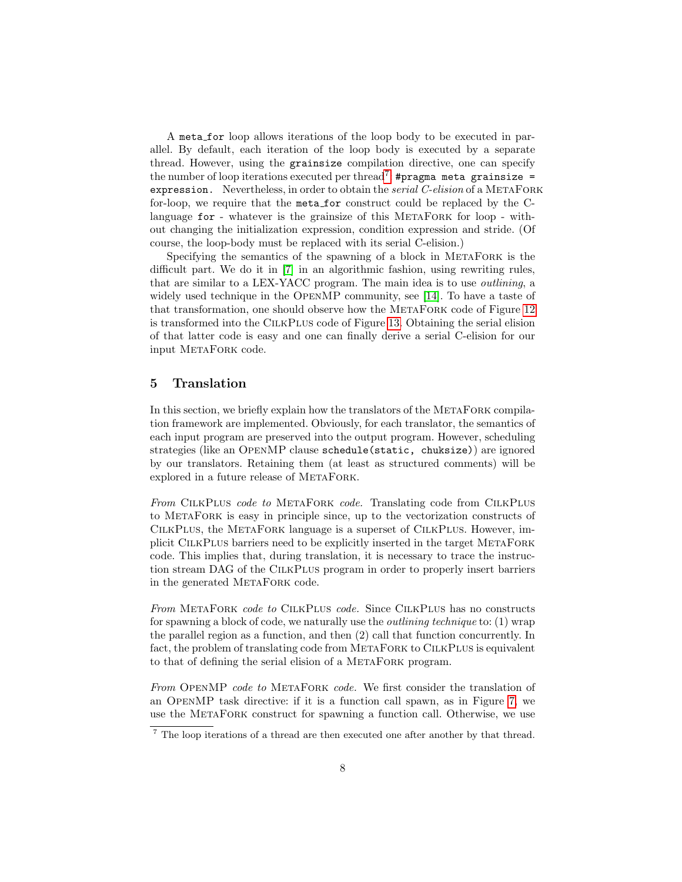A meta for loop allows iterations of the loop body to be executed in parallel. By default, each iteration of the loop body is executed by a separate thread. However, using the grainsize compilation directive, one can specify the number of loop iterations executed per thread<sup>[7](#page-7-1)</sup>:  $\texttt{\#pragma}$  meta grainsize = expression. Nevertheless, in order to obtain the *serial C-elision* of a METAFORK for-loop, we require that the meta for construct could be replaced by the Clanguage for - whatever is the grainsize of this METAFORK for loop - without changing the initialization expression, condition expression and stride. (Of course, the loop-body must be replaced with its serial C-elision.)

Specifying the semantics of the spawning of a block in METAFORK is the difficult part. We do it in [\[7\]](#page-13-7) in an algorithmic fashion, using rewriting rules, that are similar to a LEX-YACC program. The main idea is to use outlining, a widely used technique in the OpenMP community, see [\[14\]](#page-14-8). To have a taste of that transformation, one should observe how the MetaFork code of Figure [12](#page-9-1) is transformed into the CilkPlus code of Figure [13.](#page-9-1) Obtaining the serial elision of that latter code is easy and one can finally derive a serial C-elision for our input METAFORK code.

#### <span id="page-7-0"></span>5 Translation

In this section, we briefly explain how the translators of the METAFORK compilation framework are implemented. Obviously, for each translator, the semantics of each input program are preserved into the output program. However, scheduling strategies (like an OpenMP clause schedule(static, chuksize)) are ignored by our translators. Retaining them (at least as structured comments) will be explored in a future release of METAFORK.

From CILKPLUS code to METAFORK code. Translating code from CILKPLUS to MetaFork is easy in principle since, up to the vectorization constructs of CilkPlus, the MetaFork language is a superset of CilkPlus. However, implicit CilkPlus barriers need to be explicitly inserted in the target MetaFork code. This implies that, during translation, it is necessary to trace the instruction stream DAG of the CilkPlus program in order to properly insert barriers in the generated METAFORK code.

From METAFORK code to CILKPLUS code. Since CILKPLUS has no constructs for spawning a block of code, we naturally use the outlining technique to: (1) wrap the parallel region as a function, and then (2) call that function concurrently. In fact, the problem of translating code from METAFORK to CILKPLUS is equivalent to that of defining the serial elision of a METAFORK program.

From OPENMP code to METAFORK code. We first consider the translation of an OpenMP task directive: if it is a function call spawn, as in Figure [7,](#page-8-0) we use the MetaFork construct for spawning a function call. Otherwise, we use

<span id="page-7-1"></span><sup>7</sup> The loop iterations of a thread are then executed one after another by that thread.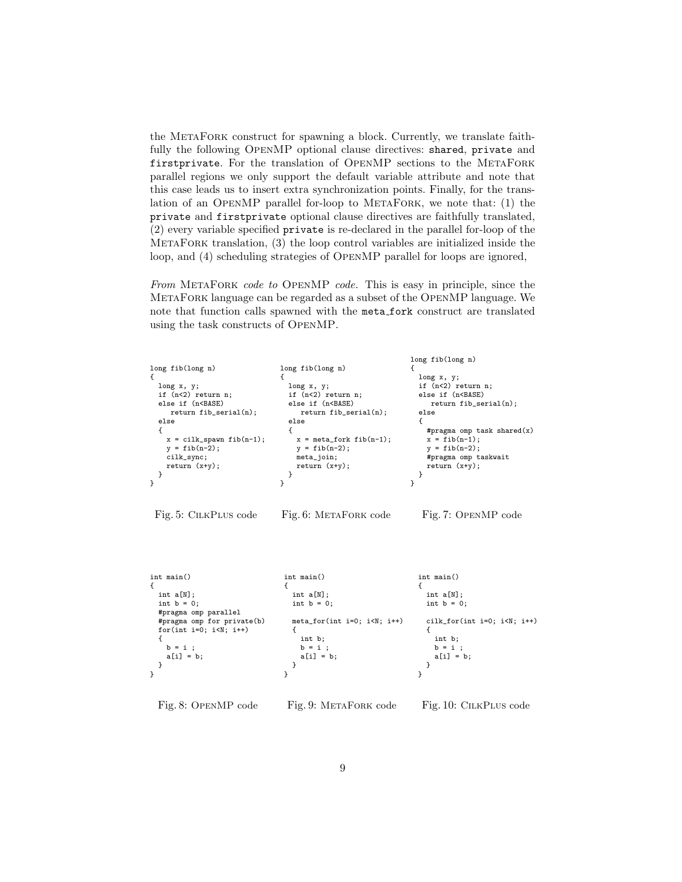the MetaFork construct for spawning a block. Currently, we translate faithfully the following OpenMP optional clause directives: shared, private and firstprivate. For the translation of OPENMP sections to the METAFORK parallel regions we only support the default variable attribute and note that this case leads us to insert extra synchronization points. Finally, for the translation of an OPENMP parallel for-loop to METAFORK, we note that: (1) the private and firstprivate optional clause directives are faithfully translated, (2) every variable specified private is re-declared in the parallel for-loop of the MetaFork translation, (3) the loop control variables are initialized inside the loop, and (4) scheduling strategies of OpenMP parallel for loops are ignored,

From METAFORK code to OPENMP code. This is easy in principle, since the MetaFork language can be regarded as a subset of the OpenMP language. We note that function calls spawned with the meta fork construct are translated using the task constructs of OpenMP.

<span id="page-8-0"></span>

|                                                                                                                                                                                                                                                                   |                                                                                                                                                                                                                                                                  | $long$ fib $(long n)$                                                                                                                                                                                                                                                               |  |  |
|-------------------------------------------------------------------------------------------------------------------------------------------------------------------------------------------------------------------------------------------------------------------|------------------------------------------------------------------------------------------------------------------------------------------------------------------------------------------------------------------------------------------------------------------|-------------------------------------------------------------------------------------------------------------------------------------------------------------------------------------------------------------------------------------------------------------------------------------|--|--|
| $long$ fib $(long n)$<br>long x, y;<br>if $(n<2)$ return n;<br>else if (n <base)<br><math>return fib_serial(n);</math><br/>else<br/><math>x = cilk_spawn fib(n-1);</math><br/><math>y = fib(n-2)</math>;<br/>cilk_sync;<br/><math>return (x+y);</math></base)<br> | $long$ fib $(long n)$<br>long x, y;<br>if $(n<2)$ return n;<br>else if (n <base)<br><math>return fib_serial(n);</math><br/>else<br/><math>x = meta_fork fib(n-1);</math><br/><math>y = fib(n-2)</math>;<br/>meta_join;<br/><math>return (x+y);</math></base)<br> | long x, y;<br>if $(n<2)$ return n;<br>else if (n <base)<br><math>return fib_serial(n);</math><br/>else<br/>#pragma omp task shared<math>(x)</math><br/><math>x = fib(n-1)</math>;<br/><math>y = fib(n-2)</math>;<br/>#pragma omp taskwait<br/><math>return (x+y);</math></base)<br> |  |  |
|                                                                                                                                                                                                                                                                   |                                                                                                                                                                                                                                                                  |                                                                                                                                                                                                                                                                                     |  |  |
|                                                                                                                                                                                                                                                                   |                                                                                                                                                                                                                                                                  |                                                                                                                                                                                                                                                                                     |  |  |
| Fig. 5: CILKPLUS code                                                                                                                                                                                                                                             | Fig. 6: METAFORK code                                                                                                                                                                                                                                            | Fig. 7: OPENMP code                                                                                                                                                                                                                                                                 |  |  |

<span id="page-8-1"></span>

| $int \text{main}()$                                       | $int \text{main}()$   | $int \text{main}()$                               |  |  |
|-----------------------------------------------------------|-----------------------|---------------------------------------------------|--|--|
| ſ                                                         |                       |                                                   |  |  |
| int $a[N]$ ;                                              | int a[N];             | int a[N];                                         |  |  |
| int $b = 0$ ;                                             | int $b = 0$ ;         | int $b = 0$ :                                     |  |  |
| #pragma omp parallel                                      |                       |                                                   |  |  |
| #pragma omp for private(b)                                | $meta_for(int i=0; i$ | $\text{cilk\_for}(\text{int } i=0; i\leq N; i++)$ |  |  |
| for(int i=0; i <n; i++)<="" td=""><td></td><td></td></n;> |                       |                                                   |  |  |
|                                                           | int b;                | int b;                                            |  |  |
| $b = i$ ;                                                 | $b = i$ ;             | $b = i$ ;                                         |  |  |
| $a[i] = b;$                                               | $a[i] = b;$           | $a[i] = b;$                                       |  |  |
|                                                           |                       |                                                   |  |  |
|                                                           |                       |                                                   |  |  |
|                                                           |                       |                                                   |  |  |
|                                                           |                       |                                                   |  |  |

Fig. 8: OpenMP code

Fig. 9: METAFORK code Fig. 10: CilkPlus code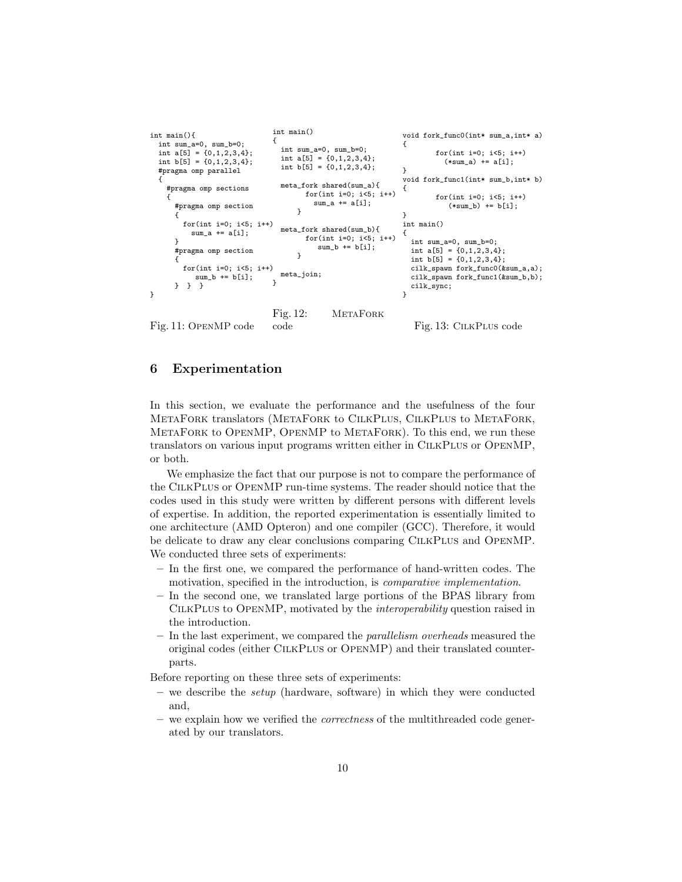```
int main(){
 int sum_a=0, sum_b=0;
  int a[5] = \{0, 1, 2, 3, 4\};int b[5] = \{0,1,2,3,4\};#pragma omp parallel
  {
    #pragma omp sections
    {
      #pragma omp section
      {
        for(int i=0; i<5; i++)
          sum a \neq a[i];
      }
      #pragma omp section
      {
        for(int i=0; i<5; i++)
           sum_b += b[i];} } }
}
                               int main()
                               {
                                 int sum_a=0, sum_b=0;
                                 int a[5] = \{0,1,2,3,4\};int b[5] = \{0, 1, 2, 3, 4\};meta_fork shared(sum_a){
                                       for(int i=0; i<5; i++)sum_a += a[i];}
                                 meta_fork shared(sum_b){
                                       for(int i=0; i<5; i++)
                                          sum_b += b[i];}
                                meta_join;
                              }
                               Fig. 12: METAFORK
                                                               void fork_func0(int* sum_a,int* a)
                                                               {
                                                                        for(int i=0; i<5; i++)
                                                                          (*sum_a) += a[i];}
                                                               void fork_func1(int* sum_b,int* b)
                                                               {
                                                                        for(int i=0; i<5; i++)
                                                                           (*sum_b) += b[i];}
                                                               int main()
                                                               {
                                                                  int sum_a=0, sum_b=0;
                                                                  int a[5] = \{0,1,2,3,4\};int b[5] = \{0,1,2,3,4\};cilk_spawn fork_func0(&sum_a,a);
                                                                  cilk_spawn fork_func1(&sum_b,b);
                                                                 cilk_sync;
                                                               }
```
Fig. 11: OpenMP code

Fig. 13: CilkPlus code

#### <span id="page-9-0"></span>6 Experimentation

code

In this section, we evaluate the performance and the usefulness of the four MetaFork translators (MetaFork to CilkPlus, CilkPlus to MetaFork, MetaFork to OpenMP, OpenMP to MetaFork). To this end, we run these translators on various input programs written either in CilkPlus or OpenMP, or both.

We emphasize the fact that our purpose is not to compare the performance of the CilkPlus or OpenMP run-time systems. The reader should notice that the codes used in this study were written by different persons with different levels of expertise. In addition, the reported experimentation is essentially limited to one architecture (AMD Opteron) and one compiler (GCC). Therefore, it would be delicate to draw any clear conclusions comparing CilkPlus and OpenMP. We conducted three sets of experiments:

- In the first one, we compared the performance of hand-written codes. The motivation, specified in the introduction, is comparative implementation.
- In the second one, we translated large portions of the BPAS library from CilkPlus to OpenMP, motivated by the interoperability question raised in the introduction.
- In the last experiment, we compared the parallelism overheads measured the original codes (either CilkPlus or OpenMP) and their translated counterparts.

Before reporting on these three sets of experiments:

- we describe the setup (hardware, software) in which they were conducted and,
- we explain how we verified the correctness of the multithreaded code generated by our translators.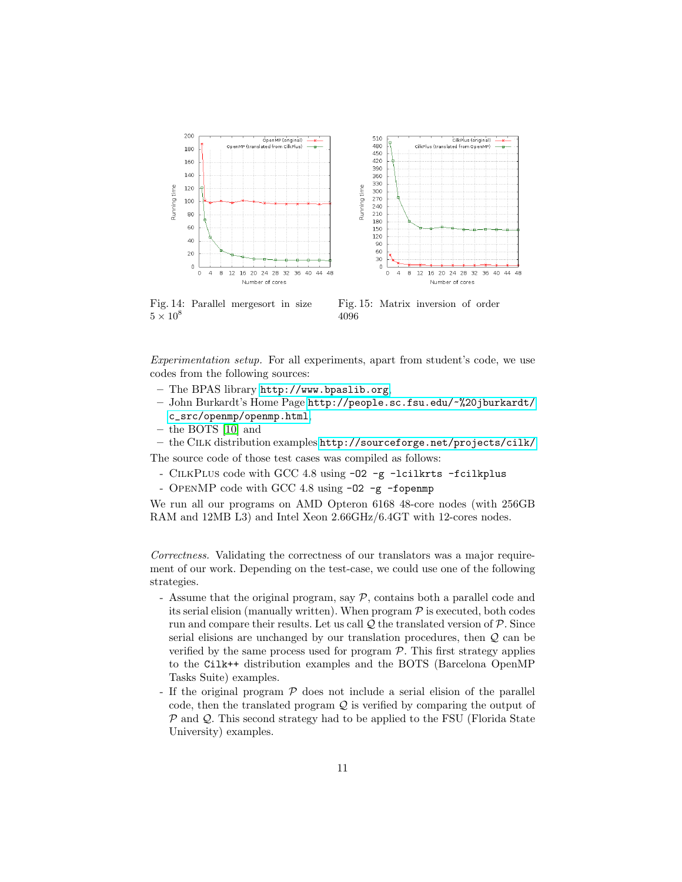<span id="page-10-0"></span>

Fig. 14: Parallel mergesort in size  $5 \times 10^8$ 

Fig. 15: Matrix inversion of order 4096

Experimentation setup. For all experiments, apart from student's code, we use codes from the following sources:

- The BPAS library <http://www.bpaslib.org>,
- John Burkardt's Home Page [http://people.sc.fsu.edu/~%20jburkardt/](http://people.sc.fsu.edu/~%20jburkardt/c_src/openmp/openmp.html) [c\\_src/openmp/openmp.html](http://people.sc.fsu.edu/~%20jburkardt/c_src/openmp/openmp.html),
- the BOTS [\[10\]](#page-14-3) and

– the Cilk distribution examples <http://sourceforge.net/projects/cilk/>.

The source code of those test cases was compiled as follows:

- CilkPlus code with GCC 4.8 using -O2 -g -lcilkrts -fcilkplus
- OpenMP code with GCC 4.8 using -O2 -g -fopenmp

We run all our programs on AMD Opteron 6168 48-core nodes (with 256GB RAM and 12MB L3) and Intel Xeon 2.66GHz/6.4GT with 12-cores nodes.

Correctness. Validating the correctness of our translators was a major requirement of our work. Depending on the test-case, we could use one of the following strategies.

- Assume that the original program, say  $P$ , contains both a parallel code and its serial elision (manually written). When program  $P$  is executed, both codes run and compare their results. Let us call  $Q$  the translated version of  $P$ . Since serial elisions are unchanged by our translation procedures, then Q can be verified by the same process used for program  $P$ . This first strategy applies to the Cilk++ distribution examples and the BOTS (Barcelona OpenMP Tasks Suite) examples.
- If the original program  $P$  does not include a serial elision of the parallel code, then the translated program  $Q$  is verified by comparing the output of  $P$  and  $Q$ . This second strategy had to be applied to the FSU (Florida State University) examples.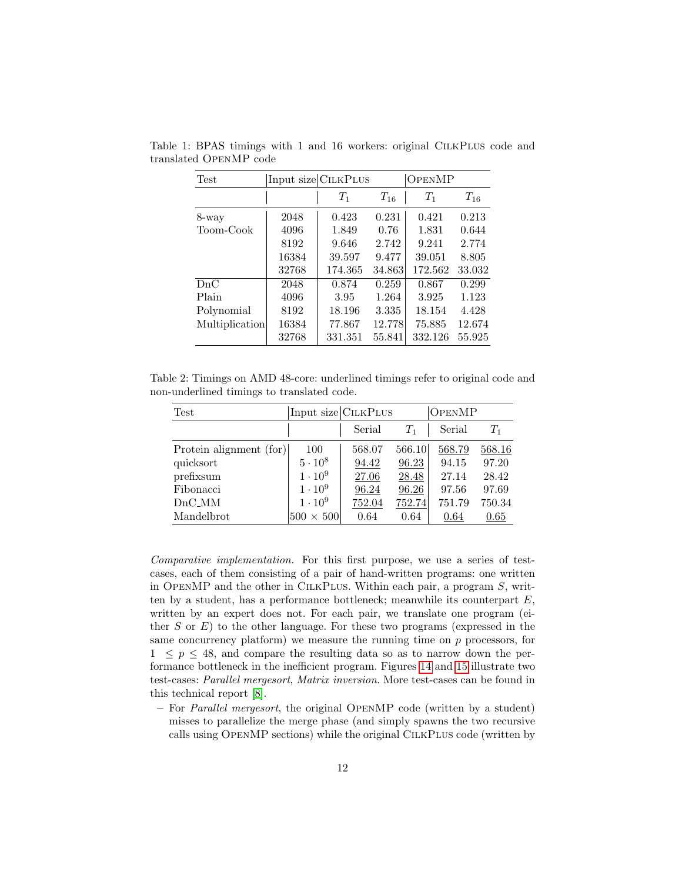| Test                  |       | Input size CILKPLUS |              | OPENMP  |          |
|-----------------------|-------|---------------------|--------------|---------|----------|
|                       |       | $T_1$               | $T_{\rm 16}$ | $T_1$   | $T_{16}$ |
| 8-way                 | 2048  | 0.423               | 0.231        | 0.421   | 0.213    |
| Toom-Cook             | 4096  | 1.849               | 0.76         | 1.831   | 0.644    |
|                       | 8192  | 9.646               | 2.742        | 9.241   | 2.774    |
|                       | 16384 | 39.597              | 9.477        | 39.051  | 8.805    |
|                       | 32768 | 174.365             | 34.863       | 172.562 | 33.032   |
| DnC                   | 2048  | 0.874               | 0.259        | 0.867   | 0.299    |
| Plain                 | 4096  | 3.95                | 1.264        | 3.925   | 1.123    |
| Polynomial            | 8192  | 18.196              | 3.335        | 18.154  | 4.428    |
| <b>Multiplication</b> | 16384 | 77.867              | 12.778       | 75.885  | 12.674   |
|                       | 32768 | 331.351             | 55.841       | 332.126 | 55.925   |

<span id="page-11-0"></span>Table 1: BPAS timings with 1 and 16 workers: original CilkPlus code and translated OpenMP code

<span id="page-11-1"></span>Table 2: Timings on AMD 48-core: underlined timings refer to original code and non-underlined timings to translated code.

| Test                    |                     | Input size $ CILKPLUS $ |        | OPENMP |        |
|-------------------------|---------------------|-------------------------|--------|--------|--------|
|                         |                     | Serial                  | $T_1$  | Serial | $T_1$  |
| Protein alignment (for) | 100                 | 568.07                  | 566.10 | 568.79 | 568.16 |
| quicksort               | $5 \cdot 10^8$      | 94.42                   | 96.23  | 94.15  | 97.20  |
| prefixsum               | $1 \cdot 10^9$      | 27.06                   | 28.48  | 27.14  | 28.42  |
| Fibonacci               | $1 \cdot 10^{9}$    | 96.24                   | 96.26  | 97.56  | 97.69  |
| $DnC_MM$                | $1 \cdot 10^{9}$    | 752.04                  | 752.74 | 751.79 | 750.34 |
| Mandelbrot              | $\times$ 500<br>500 | 0.64                    | 0.64   | 0.64   | 0.65   |

Comparative implementation. For this first purpose, we use a series of testcases, each of them consisting of a pair of hand-written programs: one written in OPENMP and the other in CILKPLUS. Within each pair, a program  $S$ , written by a student, has a performance bottleneck; meanwhile its counterpart  $E$ , written by an expert does not. For each pair, we translate one program (either  $S$  or  $E$ ) to the other language. For these two programs (expressed in the same concurrency platform) we measure the running time on  $p$  processors, for  $1 \leq p \leq 48$ , and compare the resulting data so as to narrow down the performance bottleneck in the inefficient program. Figures [14](#page-10-0) and [15](#page-10-0) illustrate two test-cases: Parallel mergesort, Matrix inversion. More test-cases can be found in this technical report [\[8\]](#page-13-4).

– For Parallel mergesort, the original OpenMP code (written by a student) misses to parallelize the merge phase (and simply spawns the two recursive calls using OpenMP sections) while the original CilkPlus code (written by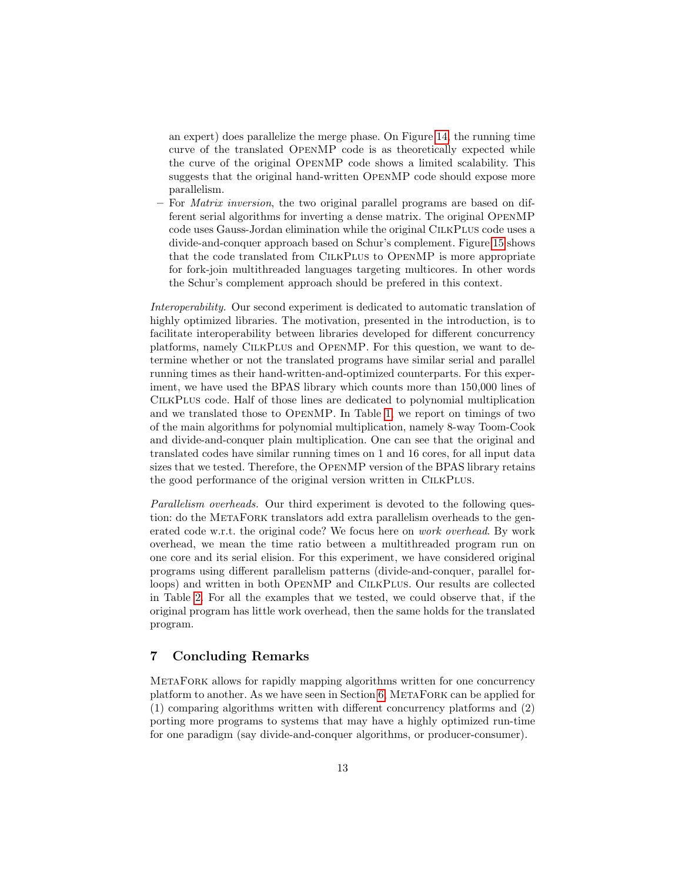an expert) does parallelize the merge phase. On Figure [14,](#page-10-0) the running time curve of the translated OpenMP code is as theoretically expected while the curve of the original OpenMP code shows a limited scalability. This suggests that the original hand-written OpenMP code should expose more parallelism.

– For Matrix inversion, the two original parallel programs are based on different serial algorithms for inverting a dense matrix. The original OpenMP code uses Gauss-Jordan elimination while the original CilkPlus code uses a divide-and-conquer approach based on Schur's complement. Figure [15](#page-10-0) shows that the code translated from CilkPlus to OpenMP is more appropriate for fork-join multithreaded languages targeting multicores. In other words the Schur's complement approach should be prefered in this context.

Interoperability. Our second experiment is dedicated to automatic translation of highly optimized libraries. The motivation, presented in the introduction, is to facilitate interoperability between libraries developed for different concurrency platforms, namely CilkPlus and OpenMP. For this question, we want to determine whether or not the translated programs have similar serial and parallel running times as their hand-written-and-optimized counterparts. For this experiment, we have used the BPAS library which counts more than 150,000 lines of CilkPlus code. Half of those lines are dedicated to polynomial multiplication and we translated those to OpenMP. In Table [1,](#page-11-0) we report on timings of two of the main algorithms for polynomial multiplication, namely 8-way Toom-Cook and divide-and-conquer plain multiplication. One can see that the original and translated codes have similar running times on 1 and 16 cores, for all input data sizes that we tested. Therefore, the OpenMP version of the BPAS library retains the good performance of the original version written in CilkPlus.

Parallelism overheads. Our third experiment is devoted to the following question: do the METAFORK translators add extra parallelism overheads to the generated code w.r.t. the original code? We focus here on work overhead. By work overhead, we mean the time ratio between a multithreaded program run on one core and its serial elision. For this experiment, we have considered original programs using different parallelism patterns (divide-and-conquer, parallel forloops) and written in both OpenMP and CilkPlus. Our results are collected in Table [2.](#page-11-1) For all the examples that we tested, we could observe that, if the original program has little work overhead, then the same holds for the translated program.

## 7 Concluding Remarks

MetaFork allows for rapidly mapping algorithms written for one concurrency platform to another. As we have seen in Section [6,](#page-9-0) MetaFork can be applied for (1) comparing algorithms written with different concurrency platforms and (2) porting more programs to systems that may have a highly optimized run-time for one paradigm (say divide-and-conquer algorithms, or producer-consumer).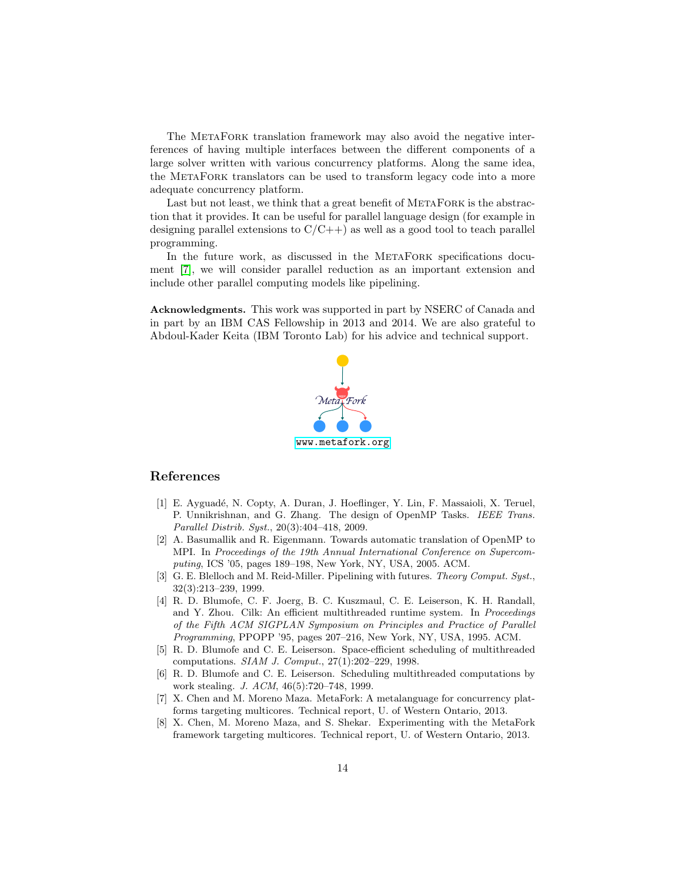The METAFORK translation framework may also avoid the negative interferences of having multiple interfaces between the different components of a large solver written with various concurrency platforms. Along the same idea, the MetaFork translators can be used to transform legacy code into a more adequate concurrency platform.

Last but not least, we think that a great benefit of METAFORK is the abstraction that it provides. It can be useful for parallel language design (for example in designing parallel extensions to  $C/C++$ ) as well as a good tool to teach parallel programming.

In the future work, as discussed in the METAFORK specifications document [\[7\]](#page-13-7), we will consider parallel reduction as an important extension and include other parallel computing models like pipelining.

Acknowledgments. This work was supported in part by NSERC of Canada and in part by an IBM CAS Fellowship in 2013 and 2014. We are also grateful to Abdoul-Kader Keita (IBM Toronto Lab) for his advice and technical support.



# References

- <span id="page-13-2"></span>[1] E. Ayguadé, N. Copty, A. Duran, J. Hoeflinger, Y. Lin, F. Massaioli, X. Teruel, P. Unnikrishnan, and G. Zhang. The design of OpenMP Tasks. IEEE Trans. Parallel Distrib. Syst., 20(3):404–418, 2009.
- <span id="page-13-5"></span>[2] A. Basumallik and R. Eigenmann. Towards automatic translation of OpenMP to MPI. In Proceedings of the 19th Annual International Conference on Supercomputing, ICS '05, pages 189–198, New York, NY, USA, 2005. ACM.
- <span id="page-13-6"></span>[3] G. E. Blelloch and M. Reid-Miller. Pipelining with futures. Theory Comput. Syst., 32(3):213–239, 1999.
- <span id="page-13-1"></span>[4] R. D. Blumofe, C. F. Joerg, B. C. Kuszmaul, C. E. Leiserson, K. H. Randall, and Y. Zhou. Cilk: An efficient multithreaded runtime system. In Proceedings of the Fifth ACM SIGPLAN Symposium on Principles and Practice of Parallel Programming, PPOPP '95, pages 207–216, New York, NY, USA, 1995. ACM.
- <span id="page-13-0"></span>[5] R. D. Blumofe and C. E. Leiserson. Space-efficient scheduling of multithreaded computations. SIAM J. Comput., 27(1):202–229, 1998.
- <span id="page-13-3"></span>[6] R. D. Blumofe and C. E. Leiserson. Scheduling multithreaded computations by work stealing. J. ACM, 46(5):720–748, 1999.
- <span id="page-13-7"></span>[7] X. Chen and M. Moreno Maza. MetaFork: A metalanguage for concurrency platforms targeting multicores. Technical report, U. of Western Ontario, 2013.
- <span id="page-13-4"></span>[8] X. Chen, M. Moreno Maza, and S. Shekar. Experimenting with the MetaFork framework targeting multicores. Technical report, U. of Western Ontario, 2013.